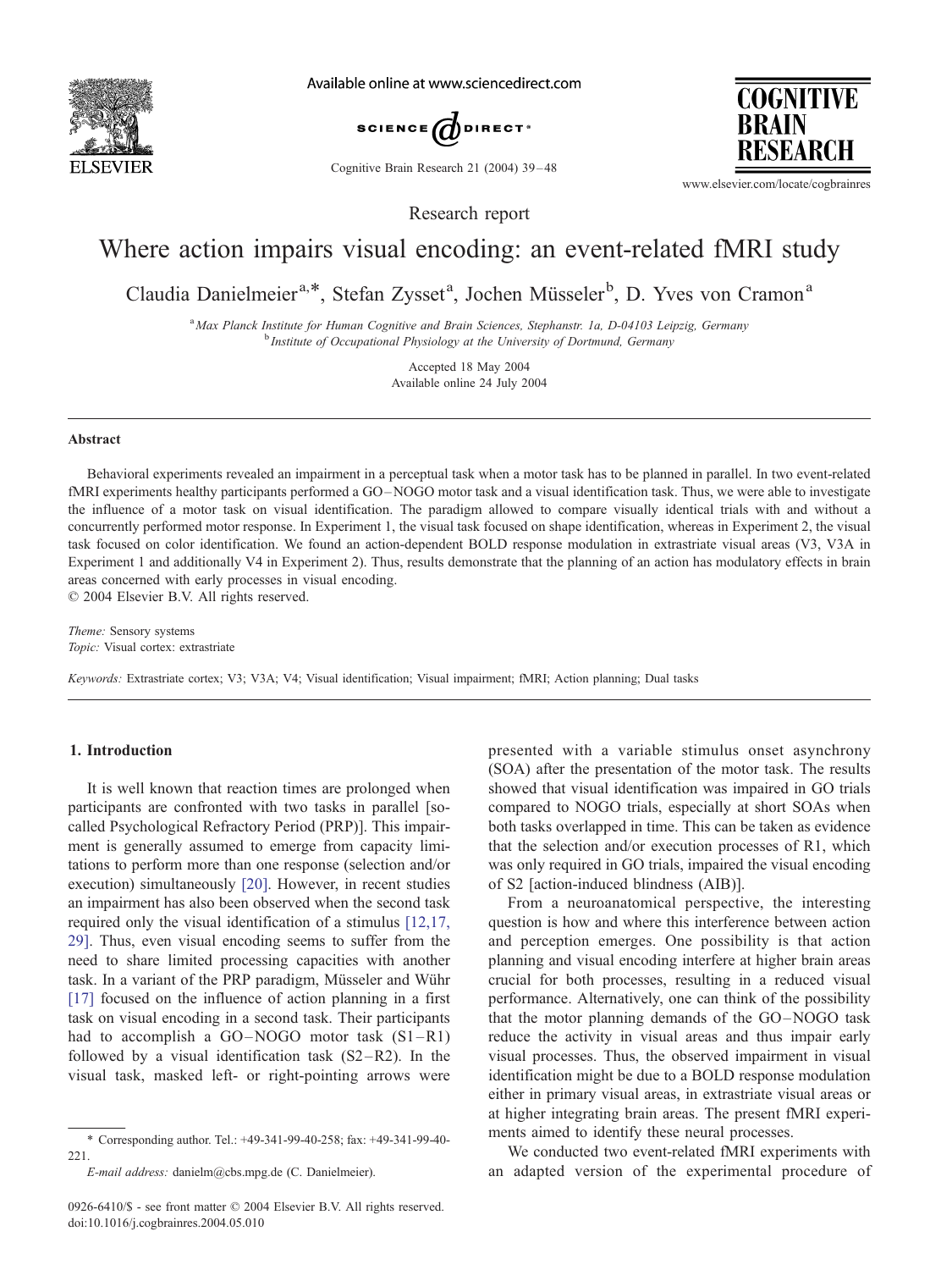

Available online at www.sciencedirect.com



Cognitive Brain Research 21 (2004) 39 – 48

**COGNITIVE BRAIN** RESEARCH

www.elsevier.com/locate/cogbrainres

Research report

# Where action impairs visual encoding: an event-related fMRI study

Claudia Danielmeier<sup>a,\*</sup>, Stefan Zysset<sup>a</sup>, Jochen Müsseler<sup>b</sup>, D. Yves von Cramon<sup>a</sup>

<sup>a</sup> Max Planck Institute for Human Cognitive and Brain Sciences, Stephanstr. 1a, D-04103 Leipzig, Germany<br><sup>b</sup> Institute of Occupational Physiology at the University of Dortmund, Germany

Accepted 18 May 2004 Available online 24 July 2004

#### Abstract

Behavioral experiments revealed an impairment in a perceptual task when a motor task has to be planned in parallel. In two event-related fMRI experiments healthy participants performed a GO-NOGO motor task and a visual identification task. Thus, we were able to investigate the influence of a motor task on visual identification. The paradigm allowed to compare visually identical trials with and without a concurrently performed motor response. In Experiment 1, the visual task focused on shape identification, whereas in Experiment 2, the visual task focused on color identification. We found an action-dependent BOLD response modulation in extrastriate visual areas (V3, V3A in Experiment 1 and additionally V4 in Experiment 2). Thus, results demonstrate that the planning of an action has modulatory effects in brain areas concerned with early processes in visual encoding.  $© 2004 Elsevier B.V. All rights reserved.$ 

Theme: Sensory systems

Topic: Visual cortex: extrastriate

Keywords: Extrastriate cortex; V3; V3A; V4; Visual identification; Visual impairment; fMRI; Action planning; Dual tasks

## 1. Introduction

It is well known that reaction times are prolonged when participants are confronted with two tasks in parallel [socalled Psychological Refractory Period (PRP)]. This impairment is generally assumed to emerge from capacity limitations to perform more than one response (selection and/or execution) simultaneously [\[20\].](#page-9-0) However, in recent studies an impairment has also been observed when the second task required only the visual identification of a stimulus [\[12,17,](#page-9-0)] 29]. Thus, even visual encoding seems to suffer from the need to share limited processing capacities with another task. In a variant of the PRP paradigm, Müsseler and Wühr [\[17\]](#page-9-0) focused on the influence of action planning in a first task on visual encoding in a second task. Their participants had to accomplish a GO–NOGO motor task  $(S1–R1)$ followed by a visual identification task  $(S2 - R2)$ . In the visual task, masked left- or right-pointing arrows were

presented with a variable stimulus onset asynchrony (SOA) after the presentation of the motor task. The results showed that visual identification was impaired in GO trials compared to NOGO trials, especially at short SOAs when both tasks overlapped in time. This can be taken as evidence that the selection and/or execution processes of R1, which was only required in GO trials, impaired the visual encoding of S2 [action-induced blindness (AIB)].

From a neuroanatomical perspective, the interesting question is how and where this interference between action and perception emerges. One possibility is that action planning and visual encoding interfere at higher brain areas crucial for both processes, resulting in a reduced visual performance. Alternatively, one can think of the possibility that the motor planning demands of the GO-NOGO task reduce the activity in visual areas and thus impair early visual processes. Thus, the observed impairment in visual identification might be due to a BOLD response modulation either in primary visual areas, in extrastriate visual areas or at higher integrating brain areas. The present fMRI experiments aimed to identify these neural processes.

We conducted two event-related fMRI experiments with an adapted version of the experimental procedure of

<sup>\*</sup> Corresponding author. Tel.: +49-341-99-40-258; fax: +49-341-99-40- 221.

E-mail address: danielm@cbs.mpg.de (C. Danielmeier).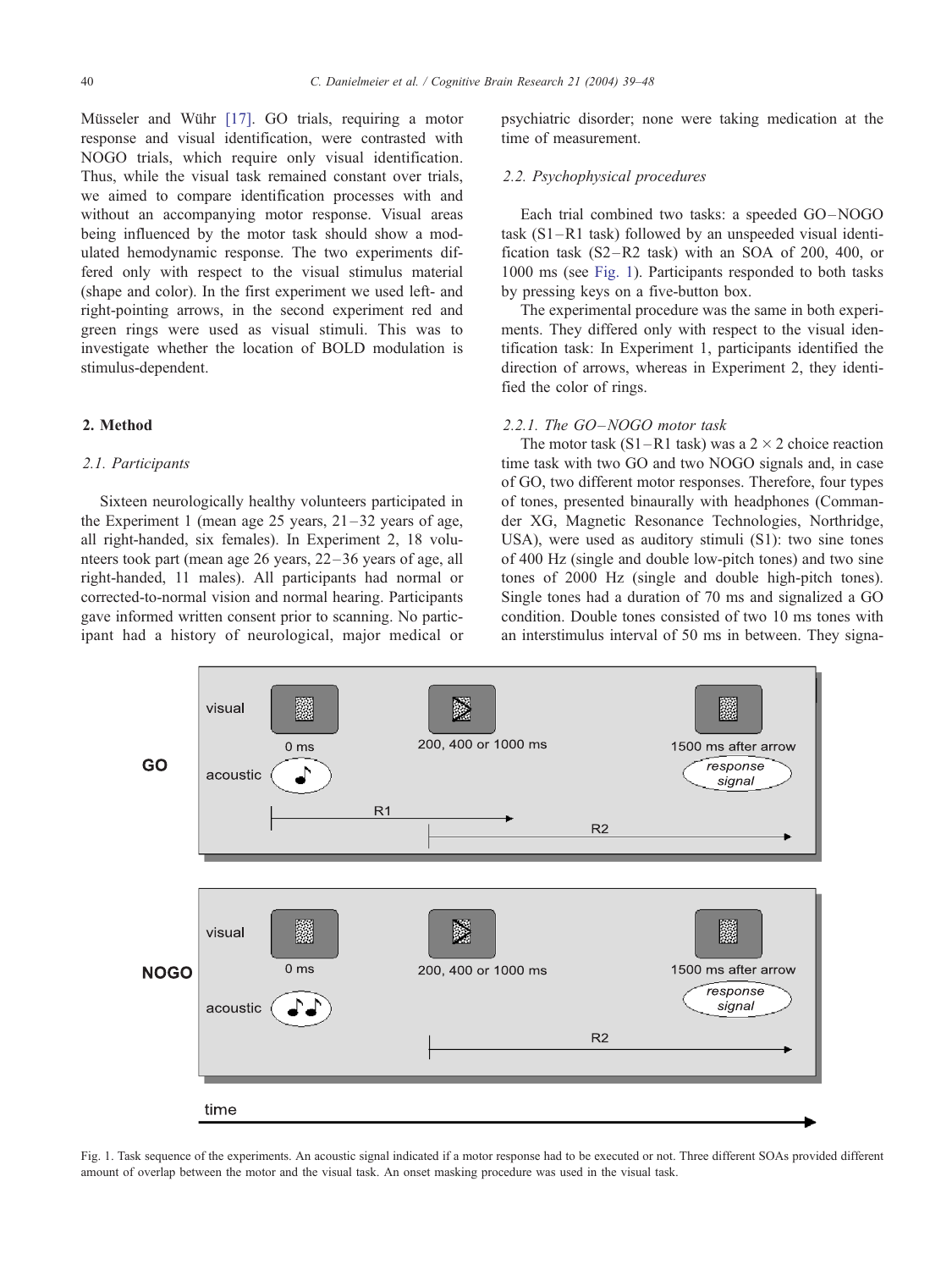Müsseler and Wühr [\[17\].](#page-9-0) GO trials, requiring a motor response and visual identification, were contrasted with NOGO trials, which require only visual identification. Thus, while the visual task remained constant over trials, we aimed to compare identification processes with and without an accompanying motor response. Visual areas being influenced by the motor task should show a modulated hemodynamic response. The two experiments differed only with respect to the visual stimulus material (shape and color). In the first experiment we used left- and right-pointing arrows, in the second experiment red and green rings were used as visual stimuli. This was to investigate whether the location of BOLD modulation is stimulus-dependent.

## 2. Method

#### 2.1. Participants

Sixteen neurologically healthy volunteers participated in the Experiment 1 (mean age 25 years,  $21-32$  years of age, all right-handed, six females). In Experiment 2, 18 volunteers took part (mean age 26 years, 22 –36 years of age, all right-handed, 11 males). All participants had normal or corrected-to-normal vision and normal hearing. Participants gave informed written consent prior to scanning. No participant had a history of neurological, major medical or psychiatric disorder; none were taking medication at the time of measurement.

#### 2.2. Psychophysical procedures

Each trial combined two tasks: a speeded GO –NOGO task (S1–R1 task) followed by an unspeeded visual identification task (S2–R2 task) with an SOA of 200, 400, or 1000 ms (see Fig. 1). Participants responded to both tasks by pressing keys on a five-button box.

The experimental procedure was the same in both experiments. They differed only with respect to the visual identification task: In Experiment 1, participants identified the direction of arrows, whereas in Experiment 2, they identified the color of rings.

## 2.2.1. The GO-NOGO motor task

The motor task  $(S1–R1$  task) was a  $2 \times 2$  choice reaction time task with two GO and two NOGO signals and, in case of GO, two different motor responses. Therefore, four types of tones, presented binaurally with headphones (Commander XG, Magnetic Resonance Technologies, Northridge, USA), were used as auditory stimuli (S1): two sine tones of 400 Hz (single and double low-pitch tones) and two sine tones of 2000 Hz (single and double high-pitch tones). Single tones had a duration of 70 ms and signalized a GO condition. Double tones consisted of two 10 ms tones with an interstimulus interval of 50 ms in between. They signa-



Fig. 1. Task sequence of the experiments. An acoustic signal indicated if a motor response had to be executed or not. Three different SOAs provided different amount of overlap between the motor and the visual task. An onset masking procedure was used in the visual task.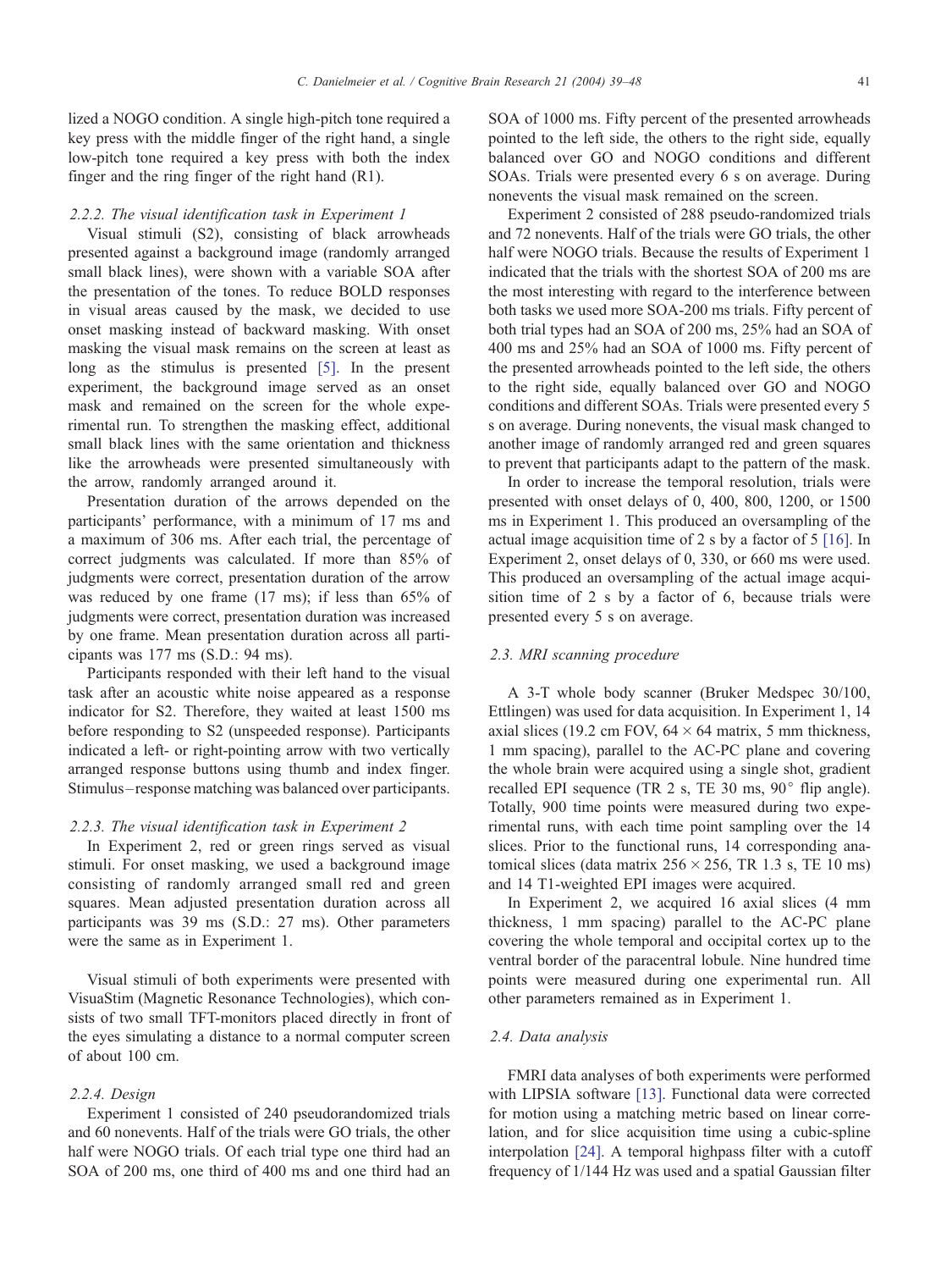lized a NOGO condition. A single high-pitch tone required a key press with the middle finger of the right hand, a single low-pitch tone required a key press with both the index finger and the ring finger of the right hand (R1).

### 2.2.2. The visual identification task in Experiment 1

Visual stimuli (S2), consisting of black arrowheads presented against a background image (randomly arranged small black lines), were shown with a variable SOA after the presentation of the tones. To reduce BOLD responses in visual areas caused by the mask, we decided to use onset masking instead of backward masking. With onset masking the visual mask remains on the screen at least as long as the stimulus is presented [\[5\].](#page-8-0) In the present experiment, the background image served as an onset mask and remained on the screen for the whole experimental run. To strengthen the masking effect, additional small black lines with the same orientation and thickness like the arrowheads were presented simultaneously with the arrow, randomly arranged around it.

Presentation duration of the arrows depended on the participants' performance, with a minimum of 17 ms and a maximum of 306 ms. After each trial, the percentage of correct judgments was calculated. If more than 85% of judgments were correct, presentation duration of the arrow was reduced by one frame (17 ms); if less than 65% of judgments were correct, presentation duration was increased by one frame. Mean presentation duration across all participants was 177 ms (S.D.: 94 ms).

Participants responded with their left hand to the visual task after an acoustic white noise appeared as a response indicator for S2. Therefore, they waited at least 1500 ms before responding to S2 (unspeeded response). Participants indicated a left- or right-pointing arrow with two vertically arranged response buttons using thumb and index finger. Stimulus– response matching was balanced over participants.

## 2.2.3. The visual identification task in Experiment 2

In Experiment 2, red or green rings served as visual stimuli. For onset masking, we used a background image consisting of randomly arranged small red and green squares. Mean adjusted presentation duration across all participants was 39 ms (S.D.: 27 ms). Other parameters were the same as in Experiment 1.

Visual stimuli of both experiments were presented with VisuaStim (Magnetic Resonance Technologies), which consists of two small TFT-monitors placed directly in front of the eyes simulating a distance to a normal computer screen of about 100 cm.

#### 2.2.4. Design

Experiment 1 consisted of 240 pseudorandomized trials and 60 nonevents. Half of the trials were GO trials, the other half were NOGO trials. Of each trial type one third had an SOA of 200 ms, one third of 400 ms and one third had an

SOA of 1000 ms. Fifty percent of the presented arrowheads pointed to the left side, the others to the right side, equally balanced over GO and NOGO conditions and different SOAs. Trials were presented every 6 s on average. During nonevents the visual mask remained on the screen.

Experiment 2 consisted of 288 pseudo-randomized trials and 72 nonevents. Half of the trials were GO trials, the other half were NOGO trials. Because the results of Experiment 1 indicated that the trials with the shortest SOA of 200 ms are the most interesting with regard to the interference between both tasks we used more SOA-200 ms trials. Fifty percent of both trial types had an SOA of 200 ms, 25% had an SOA of 400 ms and 25% had an SOA of 1000 ms. Fifty percent of the presented arrowheads pointed to the left side, the others to the right side, equally balanced over GO and NOGO conditions and different SOAs. Trials were presented every 5 s on average. During nonevents, the visual mask changed to another image of randomly arranged red and green squares to prevent that participants adapt to the pattern of the mask.

In order to increase the temporal resolution, trials were presented with onset delays of 0, 400, 800, 1200, or 1500 ms in Experiment 1. This produced an oversampling of the actual image acquisition time of 2 s by a factor of 5 [\[16\].](#page-9-0) In Experiment 2, onset delays of 0, 330, or 660 ms were used. This produced an oversampling of the actual image acquisition time of 2 s by a factor of 6, because trials were presented every 5 s on average.

## 2.3. MRI scanning procedure

A 3-T whole body scanner (Bruker Medspec 30/100, Ettlingen) was used for data acquisition. In Experiment 1, 14 axial slices (19.2 cm FOV,  $64 \times 64$  matrix, 5 mm thickness, 1 mm spacing), parallel to the AC-PC plane and covering the whole brain were acquired using a single shot, gradient recalled EPI sequence (TR  $2 \text{ s}$ , TE  $30 \text{ ms}$ ,  $90^\circ$  flip angle). Totally, 900 time points were measured during two experimental runs, with each time point sampling over the 14 slices. Prior to the functional runs, 14 corresponding anatomical slices (data matrix  $256 \times 256$ , TR 1.3 s, TE 10 ms) and 14 T1-weighted EPI images were acquired.

In Experiment 2, we acquired 16 axial slices (4 mm thickness, 1 mm spacing) parallel to the AC-PC plane covering the whole temporal and occipital cortex up to the ventral border of the paracentral lobule. Nine hundred time points were measured during one experimental run. All other parameters remained as in Experiment 1.

### 2.4. Data analysis

FMRI data analyses of both experiments were performed with LIPSIA software [\[13\].](#page-9-0) Functional data were corrected for motion using a matching metric based on linear correlation, and for slice acquisition time using a cubic-spline interpolation [\[24\].](#page-9-0) A temporal highpass filter with a cutoff frequency of 1/144 Hz was used and a spatial Gaussian filter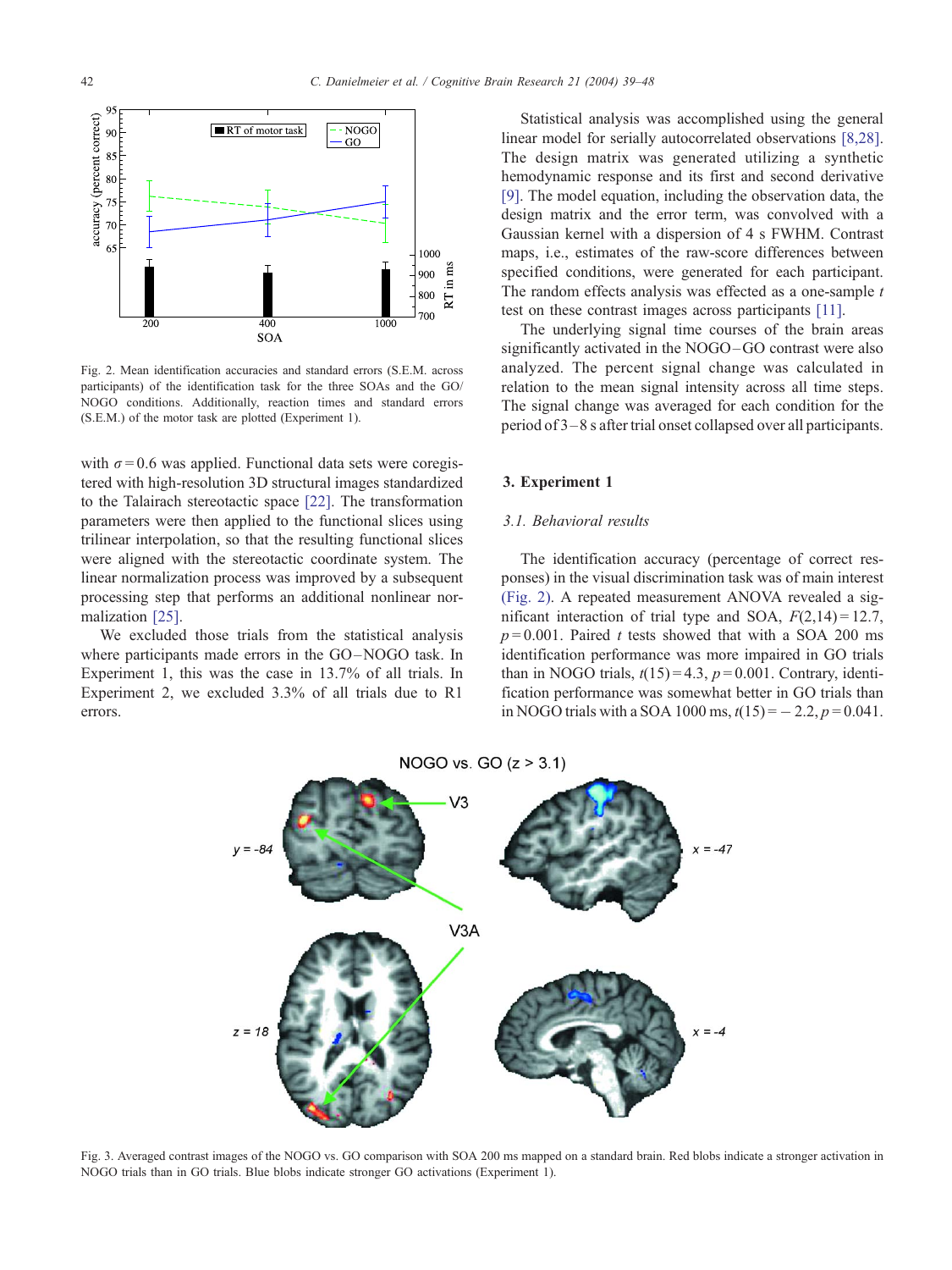<span id="page-3-0"></span>

Fig. 2. Mean identification accuracies and standard errors (S.E.M. across participants) of the identification task for the three SOAs and the GO/ NOGO conditions. Additionally, reaction times and standard errors (S.E.M.) of the motor task are plotted (Experiment 1).

with  $\sigma = 0.6$  was applied. Functional data sets were coregistered with high-resolution 3D structural images standardized to the Talairach stereotactic space [\[22\].](#page-9-0) The transformation parameters were then applied to the functional slices using trilinear interpolation, so that the resulting functional slices were aligned with the stereotactic coordinate system. The linear normalization process was improved by a subsequent processing step that performs an additional nonlinear normalization [\[25\].](#page-9-0)

We excluded those trials from the statistical analysis where participants made errors in the GO-NOGO task. In Experiment 1, this was the case in 13.7% of all trials. In Experiment 2, we excluded 3.3% of all trials due to R1 errors.

Statistical analysis was accomplished using the general linear model for serially autocorrelated observations [\[8,28\].](#page-8-0) The design matrix was generated utilizing a synthetic hemodynamic response and its first and second derivative [\[9\].](#page-8-0) The model equation, including the observation data, the design matrix and the error term, was convolved with a Gaussian kernel with a dispersion of 4 s FWHM. Contrast maps, i.e., estimates of the raw-score differences between specified conditions, were generated for each participant. The random effects analysis was effected as a one-sample  $t$ test on these contrast images across participants [\[11\].](#page-9-0)

The underlying signal time courses of the brain areas significantly activated in the NOGO-GO contrast were also analyzed. The percent signal change was calculated in relation to the mean signal intensity across all time steps. The signal change was averaged for each condition for the period of 3– 8 s after trial onset collapsed over all participants.

#### 3. Experiment 1

### 3.1. Behavioral results

The identification accuracy (percentage of correct responses) in the visual discrimination task was of main interest (Fig. 2). A repeated measurement ANOVA revealed a significant interaction of trial type and SOA,  $F(2,14) = 12.7$ ,  $p=0.001$ . Paired t tests showed that with a SOA 200 ms identification performance was more impaired in GO trials than in NOGO trials,  $t(15) = 4.3$ ,  $p = 0.001$ . Contrary, identification performance was somewhat better in GO trials than in NOGO trials with a SOA 1000 ms,  $t(15) = -2.2, p = 0.041$ .



Fig. 3. Averaged contrast images of the NOGO vs. GO comparison with SOA 200 ms mapped on a standard brain. Red blobs indicate a stronger activation in NOGO trials than in GO trials. Blue blobs indicate stronger GO activations (Experiment 1).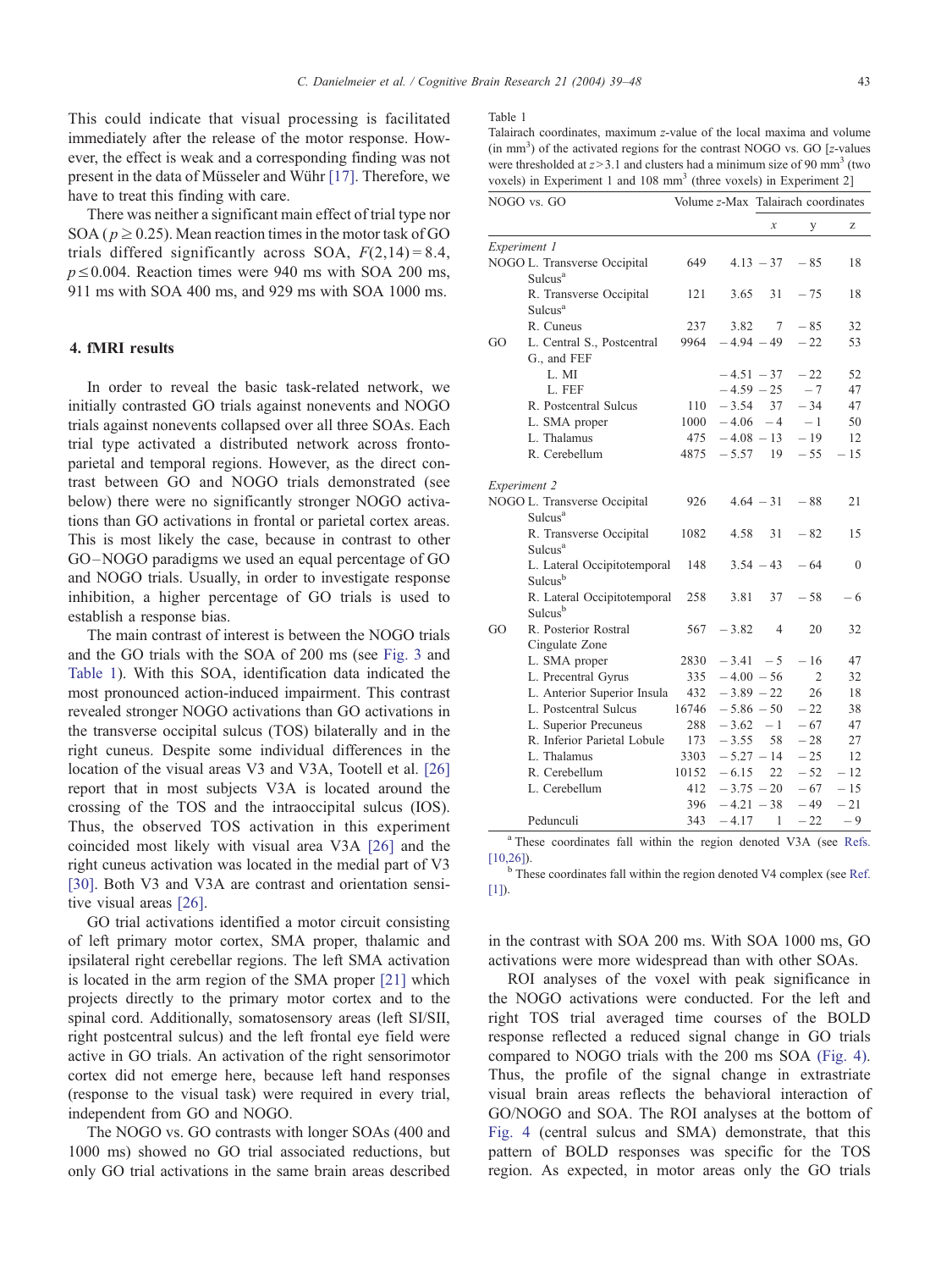This could indicate that visual processing is facilitated immediately after the release of the motor response. However, the effect is weak and a corresponding finding was not present in the data of Müsseler and Wühr  $[17]$ . Therefore, we have to treat this finding with care.

There was neither a significant main effect of trial type nor SOA ( $p \ge 0.25$ ). Mean reaction times in the motor task of GO trials differed significantly across SOA,  $F(2,14) = 8.4$ ,  $p \le 0.004$ . Reaction times were 940 ms with SOA 200 ms, 911 ms with SOA 400 ms, and 929 ms with SOA 1000 ms.

### 4. fMRI results

In order to reveal the basic task-related network, we initially contrasted GO trials against nonevents and NOGO trials against nonevents collapsed over all three SOAs. Each trial type activated a distributed network across frontoparietal and temporal regions. However, as the direct contrast between GO and NOGO trials demonstrated (see below) there were no significantly stronger NOGO activations than GO activations in frontal or parietal cortex areas. This is most likely the case, because in contrast to other GO –NOGO paradigms we used an equal percentage of GO and NOGO trials. Usually, in order to investigate response inhibition, a higher percentage of GO trials is used to establish a response bias.

The main contrast of interest is between the NOGO trials and the GO trials with the SOA of 200 ms (see [Fig. 3](#page-3-0) and Table 1). With this SOA, identification data indicated the most pronounced action-induced impairment. This contrast revealed stronger NOGO activations than GO activations in the transverse occipital sulcus (TOS) bilaterally and in the right cuneus. Despite some individual differences in the location of the visual areas V3 and V3A, Tootell et al. [\[26\]](#page-9-0) report that in most subjects V3A is located around the crossing of the TOS and the intraoccipital sulcus (IOS). Thus, the observed TOS activation in this experiment coincided most likely with visual area V3A [\[26\]](#page-9-0) and the right cuneus activation was located in the medial part of V3 [\[30\].](#page-9-0) Both V3 and V3A are contrast and orientation sensitive visual areas [\[26\].](#page-9-0)

GO trial activations identified a motor circuit consisting of left primary motor cortex, SMA proper, thalamic and ipsilateral right cerebellar regions. The left SMA activation is located in the arm region of the SMA proper [\[21\]](#page-9-0) which projects directly to the primary motor cortex and to the spinal cord. Additionally, somatosensory areas (left SI/SII, right postcentral sulcus) and the left frontal eye field were active in GO trials. An activation of the right sensorimotor cortex did not emerge here, because left hand responses (response to the visual task) were required in every trial, independent from GO and NOGO.

The NOGO vs. GO contrasts with longer SOAs (400 and 1000 ms) showed no GO trial associated reductions, but only GO trial activations in the same brain areas described

#### Table 1

Talairach coordinates, maximum z-value of the local maxima and volume  $(in mm<sup>3</sup>)$  of the activated regions for the contrast NOGO vs. GO [z-values were thresholded at  $z > 3.1$  and clusters had a minimum size of 90 mm<sup>3</sup> (two voxels) in Experiment 1 and 108 mm<sup>3</sup> (three voxels) in Experiment 2]

| NOGO vs. GO         |                                                     |       |              | Volume z-Max Talairach coordinates |       |          |
|---------------------|-----------------------------------------------------|-------|--------------|------------------------------------|-------|----------|
|                     |                                                     |       |              | x                                  | у     | Z        |
| Experiment 1        |                                                     |       |              |                                    |       |          |
|                     | NOGO L. Transverse Occipital<br>Sulcus <sup>a</sup> | 649   |              | $4.13 - 37$                        | $-85$ | 18       |
|                     | R. Transverse Occipital<br>Sulcus <sup>a</sup>      | 121   | 3.65         | 31                                 | $-75$ | 18       |
|                     | R. Cuneus                                           | 237   | 3.82         | 7                                  | $-85$ | 32       |
| GO                  | L. Central S., Postcentral<br>G., and FEF           | 9964  | $-4.94 - 49$ |                                    | $-22$ | 53       |
|                     | L. MI                                               |       | $-4.51 - 37$ |                                    | $-22$ | 52       |
|                     | L. FEF                                              |       | $-4.59 - 25$ |                                    | $-7$  | 47       |
|                     | R. Postcentral Sulcus                               | 110   | $-3.54$      | 37                                 | $-34$ | 47       |
|                     | L. SMA proper                                       | 1000  | $-4.06 - 4$  |                                    | $-1$  | 50       |
|                     | L. Thalamus                                         | 475   |              | $-4.08 - 13$                       | $-19$ | 12       |
|                     | R. Cerebellum                                       | 4875  | $-5.57$      | 19                                 | $-55$ | $-15$    |
| <b>Experiment 2</b> |                                                     |       |              |                                    |       |          |
|                     | NOGO L. Transverse Occipital<br>Sulcus <sup>a</sup> | 926   |              | $4.64 - 31$                        | $-88$ | 21       |
|                     | R. Transverse Occipital<br>Sulcus <sup>a</sup>      | 1082  | 4.58         | 31                                 | $-82$ | 15       |
|                     | L. Lateral Occipitotemporal<br>Sulcus <sup>b</sup>  | 148   |              | $3.54 - 43$                        | $-64$ | $\Omega$ |
|                     | R. Lateral Occipitotemporal<br>Sulcus <sup>b</sup>  | 258   | 3.81         | 37                                 | $-58$ | - 6      |
| GO.                 | R. Posterior Rostral<br>Cingulate Zone              | 567   | $-3.82$      | 4                                  | 20    | 32       |
|                     | L. SMA proper                                       | 2830  | $-3.41$      | $-5$                               | $-16$ | 47       |
|                     | L. Precentral Gyrus                                 | 335   | $-4.00 - 56$ |                                    | 2     | 32       |
|                     | L. Anterior Superior Insula                         | 432   | $-3.89 - 22$ |                                    | 26    | 18       |
|                     | L. Postcentral Sulcus                               | 16746 | $-5.86 - 50$ |                                    | $-22$ | 38       |
|                     | L. Superior Precuneus                               | 288   | $-3.62$      | $-1$                               | $-67$ | 47       |
|                     | R. Inferior Parietal Lobule                         | 173   | $-3.55$      | 58                                 | $-28$ | 27       |
|                     | L. Thalamus                                         | 3303  | $-5.27 - 14$ |                                    | $-25$ | 12       |
|                     | R. Cerebellum                                       | 10152 | $-6.15$      | 22                                 | $-52$ | $-12$    |
|                     | L. Cerebellum                                       | 412   | $-3.75 - 20$ |                                    | $-67$ | $-15$    |
|                     |                                                     | 396   | $-4.21 - 38$ |                                    | $-49$ | $-21$    |
|                     | Pedunculi                                           | 343   | $-4.17$      | 1                                  | $-22$ | - 9      |

<sup>a</sup> [These coordinates fall within the region denoted V3A \(see](#page-8-0) Refs.

[10,26]). <sup>b</sup> [These coordinates fall within the region denoted V4 complex \(see](#page-8-0) Ref.  $[1]$ .

in the contrast with SOA 200 ms. With SOA 1000 ms, GO activations were more widespread than with other SOAs.

ROI analyses of the voxel with peak significance in the NOGO activations were conducted. For the left and right TOS trial averaged time courses of the BOLD response reflected a reduced signal change in GO trials compared to NOGO trials with the 200 ms SOA [\(Fig. 4\).](#page-5-0) Thus, the profile of the signal change in extrastriate visual brain areas reflects the behavioral interaction of GO/NOGO and SOA. The ROI analyses at the bottom of [Fig. 4](#page-5-0) (central sulcus and SMA) demonstrate, that this pattern of BOLD responses was specific for the TOS region. As expected, in motor areas only the GO trials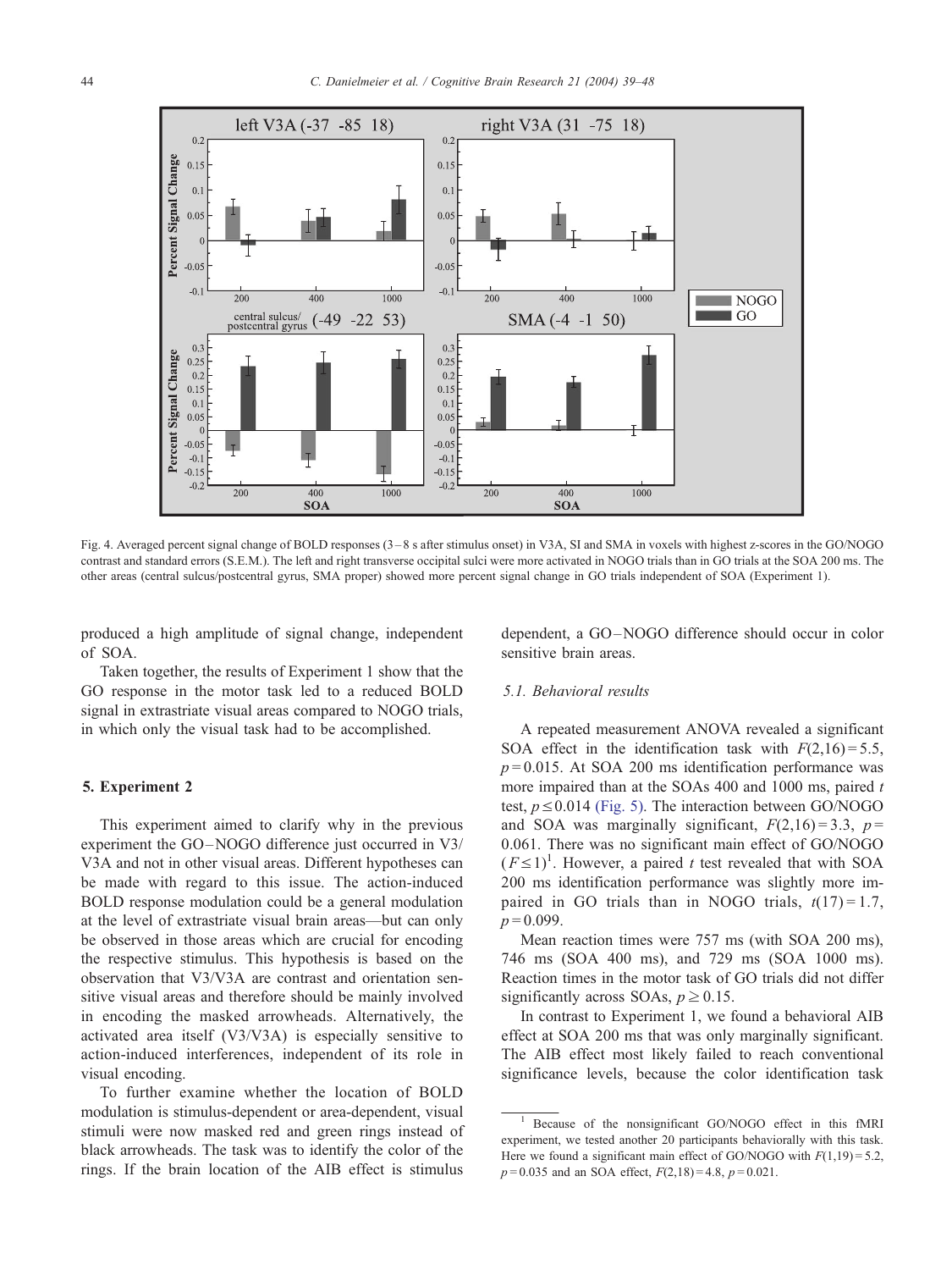<span id="page-5-0"></span>

Fig. 4. Averaged percent signal change of BOLD responses (3 – 8 s after stimulus onset) in V3A, SI and SMA in voxels with highest z-scores in the GO/NOGO contrast and standard errors (S.E.M.). The left and right transverse occipital sulci were more activated in NOGO trials than in GO trials at the SOA 200 ms. The other areas (central sulcus/postcentral gyrus, SMA proper) showed more percent signal change in GO trials independent of SOA (Experiment 1).

produced a high amplitude of signal change, independent of SOA.

Taken together, the results of Experiment 1 show that the GO response in the motor task led to a reduced BOLD signal in extrastriate visual areas compared to NOGO trials, in which only the visual task had to be accomplished.

## 5. Experiment 2

This experiment aimed to clarify why in the previous experiment the GO-NOGO difference just occurred in V3/ V3A and not in other visual areas. Different hypotheses can be made with regard to this issue. The action-induced BOLD response modulation could be a general modulation at the level of extrastriate visual brain areas—but can only be observed in those areas which are crucial for encoding the respective stimulus. This hypothesis is based on the observation that V3/V3A are contrast and orientation sensitive visual areas and therefore should be mainly involved in encoding the masked arrowheads. Alternatively, the activated area itself (V3/V3A) is especially sensitive to action-induced interferences, independent of its role in visual encoding.

To further examine whether the location of BOLD modulation is stimulus-dependent or area-dependent, visual stimuli were now masked red and green rings instead of black arrowheads. The task was to identify the color of the rings. If the brain location of the AIB effect is stimulus

dependent, a GO –NOGO difference should occur in color sensitive brain areas.

## 5.1. Behavioral results

A repeated measurement ANOVA revealed a significant SOA effect in the identification task with  $F(2,16) = 5.5$ ,  $p = 0.015$ . At SOA 200 ms identification performance was more impaired than at the SOAs  $400$  and  $1000$  ms, paired t test,  $p \le 0.014$  [\(Fig. 5\).](#page-6-0) The interaction between GO/NOGO and SOA was marginally significant,  $F(2.16) = 3.3$ ,  $p =$ 0.061. There was no significant main effect of GO/NOGO  $(F \le 1)^1$ . However, a paired t test revealed that with SOA 200 ms identification performance was slightly more impaired in GO trials than in NOGO trials,  $t(17) = 1.7$ ,  $p = 0.099$ .

Mean reaction times were 757 ms (with SOA 200 ms), 746 ms (SOA 400 ms), and 729 ms (SOA 1000 ms). Reaction times in the motor task of GO trials did not differ significantly across SOAs,  $p \ge 0.15$ .

In contrast to Experiment 1, we found a behavioral AIB effect at SOA 200 ms that was only marginally significant. The AIB effect most likely failed to reach conventional significance levels, because the color identification task

<sup>1</sup> Because of the nonsignificant GO/NOGO effect in this fMRI experiment, we tested another 20 participants behaviorally with this task. Here we found a significant main effect of GO/NOGO with  $F(1,19) = 5.2$ ,  $p=0.035$  and an SOA effect,  $F(2,18)=4.8$ ,  $p=0.021$ .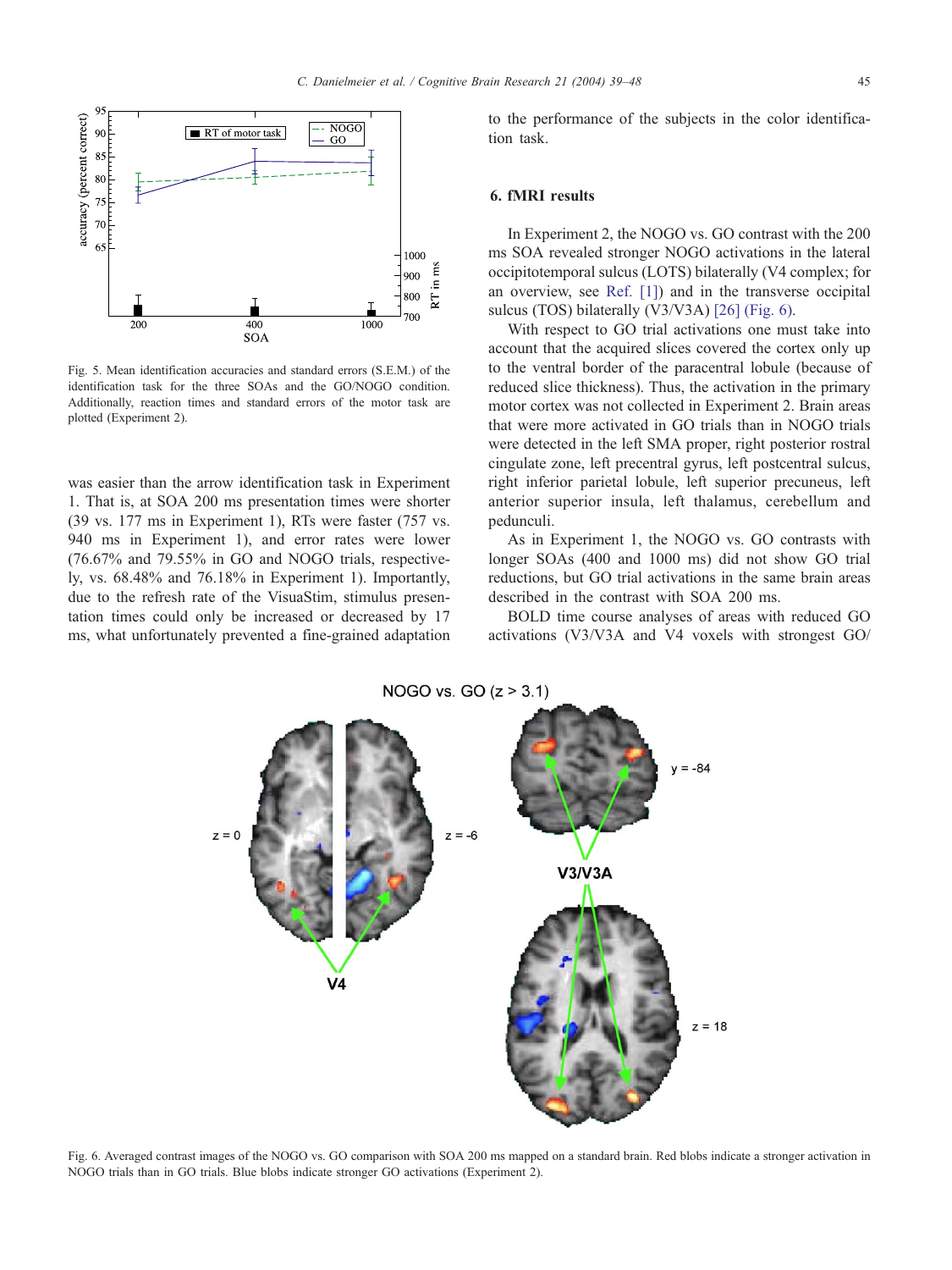<span id="page-6-0"></span>

Fig. 5. Mean identification accuracies and standard errors (S.E.M.) of the identification task for the three SOAs and the GO/NOGO condition. Additionally, reaction times and standard errors of the motor task are plotted (Experiment 2).

was easier than the arrow identification task in Experiment 1. That is, at SOA 200 ms presentation times were shorter (39 vs. 177 ms in Experiment 1), RTs were faster (757 vs. 940 ms in Experiment 1), and error rates were lower (76.67% and 79.55% in GO and NOGO trials, respectively, vs. 68.48% and 76.18% in Experiment 1). Importantly, due to the refresh rate of the VisuaStim, stimulus presentation times could only be increased or decreased by 17 ms, what unfortunately prevented a fine-grained adaptation

to the performance of the subjects in the color identification task.

#### 6. fMRI results

In Experiment 2, the NOGO vs. GO contrast with the 200 ms SOA revealed stronger NOGO activations in the lateral occipitotemporal sulcus (LOTS) bilaterally (V4 complex; for an overview, see [Ref. \[1\]\)](#page-8-0) and in the transverse occipital sulcus (TOS) bilaterally (V3/V3A) [\[26\]](#page-9-0) (Fig. 6).

With respect to GO trial activations one must take into account that the acquired slices covered the cortex only up to the ventral border of the paracentral lobule (because of reduced slice thickness). Thus, the activation in the primary motor cortex was not collected in Experiment 2. Brain areas that were more activated in GO trials than in NOGO trials were detected in the left SMA proper, right posterior rostral cingulate zone, left precentral gyrus, left postcentral sulcus, right inferior parietal lobule, left superior precuneus, left anterior superior insula, left thalamus, cerebellum and pedunculi.

As in Experiment 1, the NOGO vs. GO contrasts with longer SOAs (400 and 1000 ms) did not show GO trial reductions, but GO trial activations in the same brain areas described in the contrast with SOA 200 ms.

BOLD time course analyses of areas with reduced GO activations (V3/V3A and V4 voxels with strongest GO/

NOGO vs. GO  $(z > 3.1)$ 



Fig. 6. Averaged contrast images of the NOGO vs. GO comparison with SOA 200 ms mapped on a standard brain. Red blobs indicate a stronger activation in NOGO trials than in GO trials. Blue blobs indicate stronger GO activations (Experiment 2).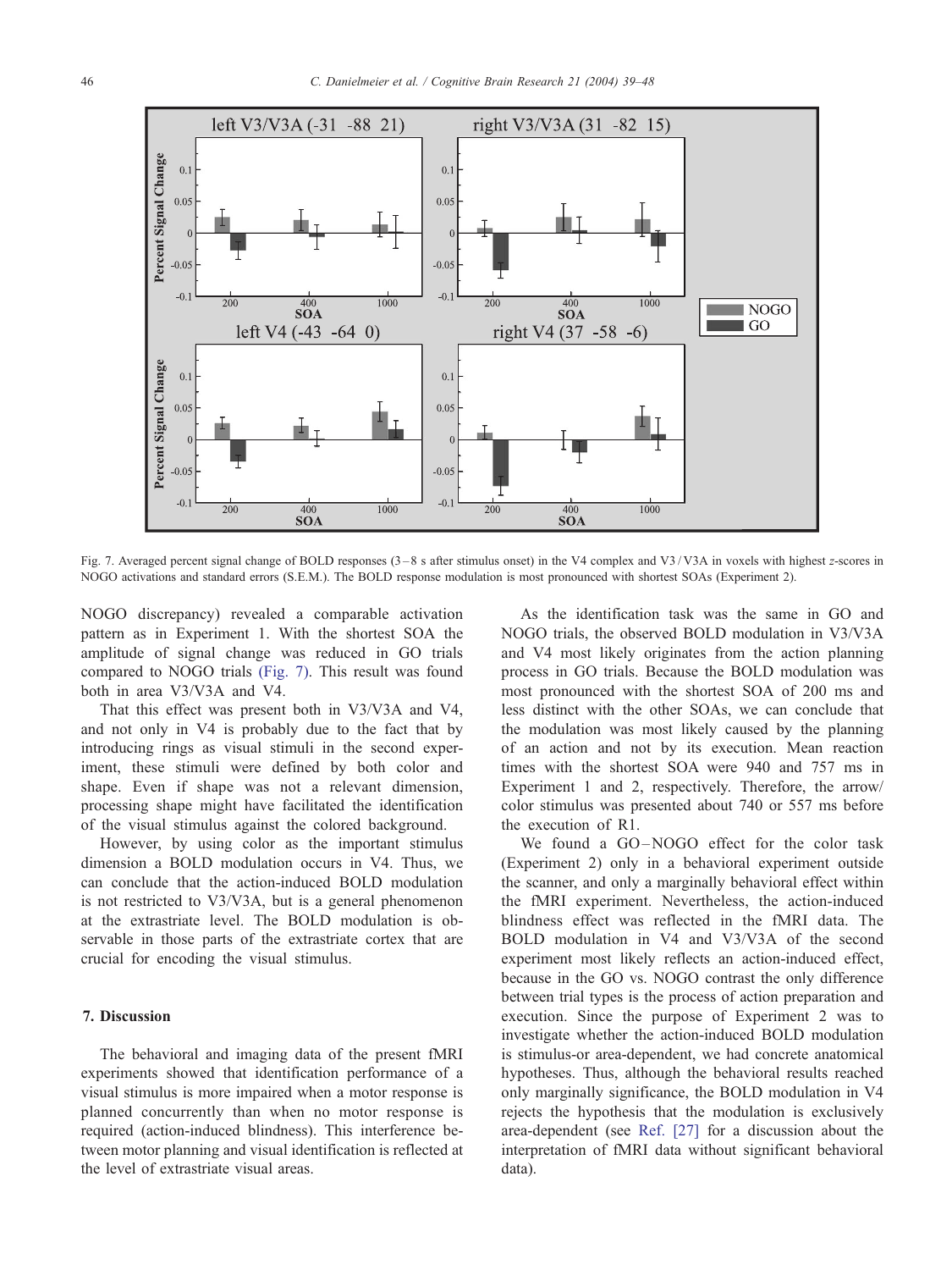

Fig. 7. Averaged percent signal change of BOLD responses (3 – 8 s after stimulus onset) in the V4 complex and V3 / V3A in voxels with highest z-scores in NOGO activations and standard errors (S.E.M.). The BOLD response modulation is most pronounced with shortest SOAs (Experiment 2).

NOGO discrepancy) revealed a comparable activation pattern as in Experiment 1. With the shortest SOA the amplitude of signal change was reduced in GO trials compared to NOGO trials (Fig. 7). This result was found both in area V3/V3A and V4.

That this effect was present both in V3/V3A and V4, and not only in V4 is probably due to the fact that by introducing rings as visual stimuli in the second experiment, these stimuli were defined by both color and shape. Even if shape was not a relevant dimension, processing shape might have facilitated the identification of the visual stimulus against the colored background.

However, by using color as the important stimulus dimension a BOLD modulation occurs in V4. Thus, we can conclude that the action-induced BOLD modulation is not restricted to V3/V3A, but is a general phenomenon at the extrastriate level. The BOLD modulation is observable in those parts of the extrastriate cortex that are crucial for encoding the visual stimulus.

## 7. Discussion

The behavioral and imaging data of the present fMRI experiments showed that identification performance of a visual stimulus is more impaired when a motor response is planned concurrently than when no motor response is required (action-induced blindness). This interference between motor planning and visual identification is reflected at the level of extrastriate visual areas.

As the identification task was the same in GO and NOGO trials, the observed BOLD modulation in V3/V3A and V4 most likely originates from the action planning process in GO trials. Because the BOLD modulation was most pronounced with the shortest SOA of 200 ms and less distinct with the other SOAs, we can conclude that the modulation was most likely caused by the planning of an action and not by its execution. Mean reaction times with the shortest SOA were 940 and 757 ms in Experiment 1 and 2, respectively. Therefore, the arrow/ color stimulus was presented about 740 or 557 ms before the execution of R1.

We found a GO-NOGO effect for the color task (Experiment 2) only in a behavioral experiment outside the scanner, and only a marginally behavioral effect within the fMRI experiment. Nevertheless, the action-induced blindness effect was reflected in the fMRI data. The BOLD modulation in V4 and V3/V3A of the second experiment most likely reflects an action-induced effect, because in the GO vs. NOGO contrast the only difference between trial types is the process of action preparation and execution. Since the purpose of Experiment 2 was to investigate whether the action-induced BOLD modulation is stimulus-or area-dependent, we had concrete anatomical hypotheses. Thus, although the behavioral results reached only marginally significance, the BOLD modulation in V4 rejects the hypothesis that the modulation is exclusively area-dependent (see [Ref. \[27\]](#page-9-0) for a discussion about the interpretation of fMRI data without significant behavioral data).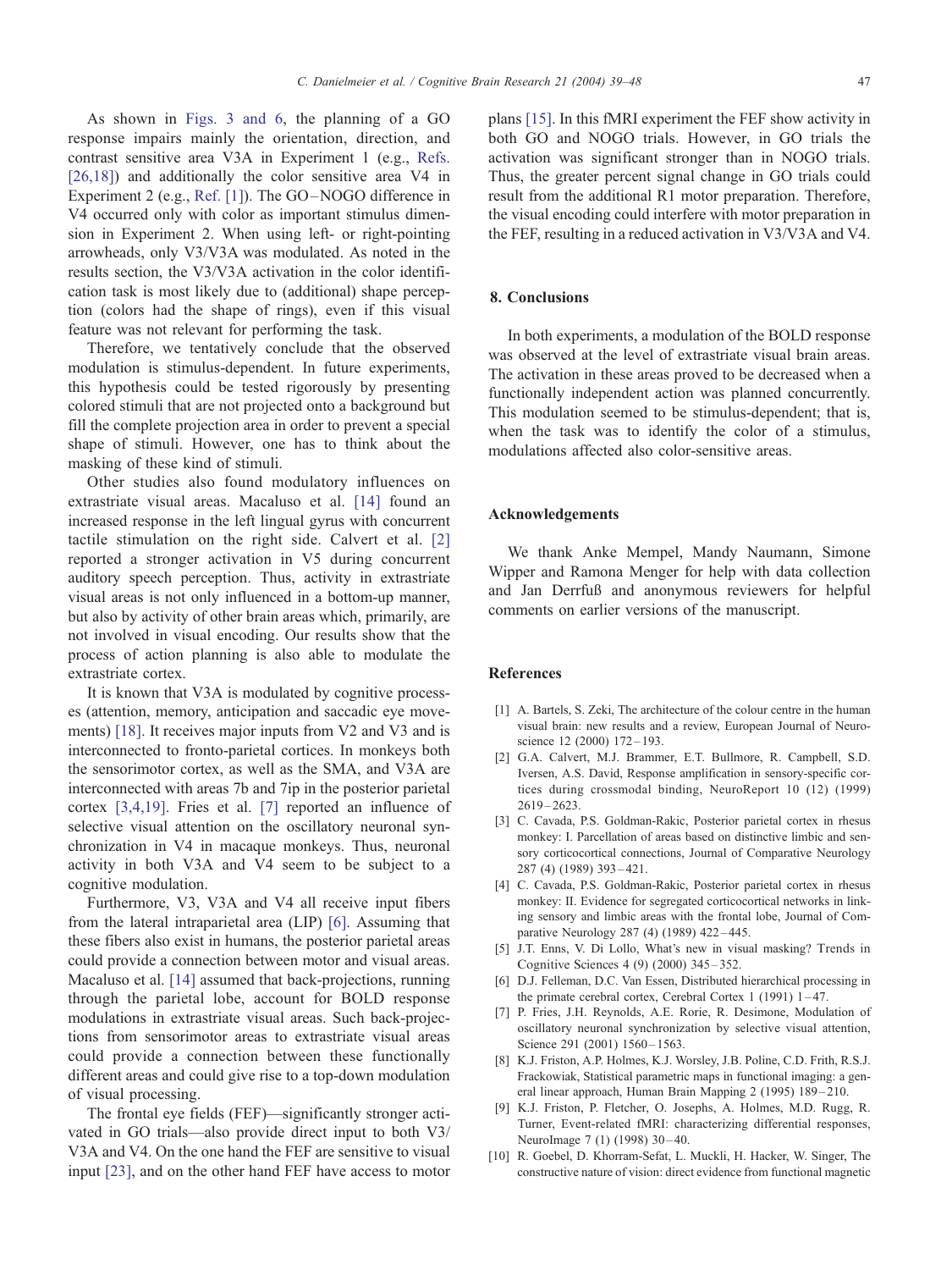<span id="page-8-0"></span>As shown in [Figs. 3 and 6,](#page-3-0) the planning of a GO response impairs mainly the orientation, direction, and contrast sensitive area V3A in Experiment 1 (e.g., [Refs.](#page-9-0) [26,18]) and additionally the color sensitive area V4 in Experiment 2 (e.g., Ref. [1]). The GO-NOGO difference in V4 occurred only with color as important stimulus dimension in Experiment 2. When using left- or right-pointing arrowheads, only V3/V3A was modulated. As noted in the results section, the V3/V3A activation in the color identification task is most likely due to (additional) shape perception (colors had the shape of rings), even if this visual feature was not relevant for performing the task.

Therefore, we tentatively conclude that the observed modulation is stimulus-dependent. In future experiments, this hypothesis could be tested rigorously by presenting colored stimuli that are not projected onto a background but fill the complete projection area in order to prevent a special shape of stimuli. However, one has to think about the masking of these kind of stimuli.

Other studies also found modulatory influences on extrastriate visual areas. Macaluso et al. [\[14\]](#page-9-0) found an increased response in the left lingual gyrus with concurrent tactile stimulation on the right side. Calvert et al. [2] reported a stronger activation in V5 during concurrent auditory speech perception. Thus, activity in extrastriate visual areas is not only influenced in a bottom-up manner, but also by activity of other brain areas which, primarily, are not involved in visual encoding. Our results show that the process of action planning is also able to modulate the extrastriate cortex.

It is known that V3A is modulated by cognitive processes (attention, memory, anticipation and saccadic eye move-ments) [\[18\].](#page-9-0) It receives major inputs from V2 and V3 and is interconnected to fronto-parietal cortices. In monkeys both the sensorimotor cortex, as well as the SMA, and V3A are interconnected with areas 7b and 7ip in the posterior parietal cortex [3,4,19]. Fries et al. [7] reported an influence of selective visual attention on the oscillatory neuronal synchronization in V4 in macaque monkeys. Thus, neuronal activity in both V3A and V4 seem to be subject to a cognitive modulation.

Furthermore, V3, V3A and V4 all receive input fibers from the lateral intraparietal area (LIP) [6]. Assuming that these fibers also exist in humans, the posterior parietal areas could provide a connection between motor and visual areas. Macaluso et al. [\[14\]](#page-9-0) assumed that back-projections, running through the parietal lobe, account for BOLD response modulations in extrastriate visual areas. Such back-projections from sensorimotor areas to extrastriate visual areas could provide a connection between these functionally different areas and could give rise to a top-down modulation of visual processing.

The frontal eye fields (FEF)—significantly stronger activated in GO trials—also provide direct input to both V3/ V3A and V4. On the one hand the FEF are sensitive to visual input [\[23\],](#page-9-0) and on the other hand FEF have access to motor plans [\[15\].](#page-9-0) In this fMRI experiment the FEF show activity in both GO and NOGO trials. However, in GO trials the activation was significant stronger than in NOGO trials. Thus, the greater percent signal change in GO trials could result from the additional R1 motor preparation. Therefore, the visual encoding could interfere with motor preparation in the FEF, resulting in a reduced activation in V3/V3A and V4.

### 8. Conclusions

In both experiments, a modulation of the BOLD response was observed at the level of extrastriate visual brain areas. The activation in these areas proved to be decreased when a functionally independent action was planned concurrently. This modulation seemed to be stimulus-dependent; that is, when the task was to identify the color of a stimulus, modulations affected also color-sensitive areas.

#### Acknowledgements

We thank Anke Mempel, Mandy Naumann, Simone Wipper and Ramona Menger for help with data collection and Jan Derrfuß and anonymous reviewers for helpful comments on earlier versions of the manuscript.

#### References

- [1] A. Bartels, S. Zeki, The architecture of the colour centre in the human visual brain: new results and a review, European Journal of Neuroscience 12 (2000) 172 – 193.
- [2] G.A. Calvert, M.J. Brammer, E.T. Bullmore, R. Campbell, S.D. Iversen, A.S. David, Response amplification in sensory-specific cortices during crossmodal binding, NeuroReport 10 (12) (1999)  $2619 - 2623$ .
- [3] C. Cavada, P.S. Goldman-Rakic, Posterior parietal cortex in rhesus monkey: I. Parcellation of areas based on distinctive limbic and sensory corticocortical connections, Journal of Comparative Neurology 287 (4) (1989) 393 – 421.
- [4] C. Cavada, P.S. Goldman-Rakic, Posterior parietal cortex in rhesus monkey: II. Evidence for segregated corticocortical networks in linking sensory and limbic areas with the frontal lobe, Journal of Comparative Neurology 287 (4) (1989) 422 – 445.
- [5] J.T. Enns, V. Di Lollo, What's new in visual masking? Trends in Cognitive Sciences 4 (9) (2000) 345 – 352.
- [6] D.J. Felleman, D.C. Van Essen, Distributed hierarchical processing in the primate cerebral cortex, Cerebral Cortex 1 (1991) 1-47.
- [7] P. Fries, J.H. Reynolds, A.E. Rorie, R. Desimone, Modulation of oscillatory neuronal synchronization by selective visual attention, Science 291 (2001) 1560-1563.
- [8] K.J. Friston, A.P. Holmes, K.J. Worsley, J.B. Poline, C.D. Frith, R.S.J. Frackowiak, Statistical parametric maps in functional imaging: a general linear approach, Human Brain Mapping 2 (1995) 189-210.
- [9] K.J. Friston, P. Fletcher, O. Josephs, A. Holmes, M.D. Rugg, R. Turner, Event-related fMRI: characterizing differential responses, NeuroImage 7 (1) (1998) 30-40.
- [10] R. Goebel, D. Khorram-Sefat, L. Muckli, H. Hacker, W. Singer, The constructive nature of vision: direct evidence from functional magnetic